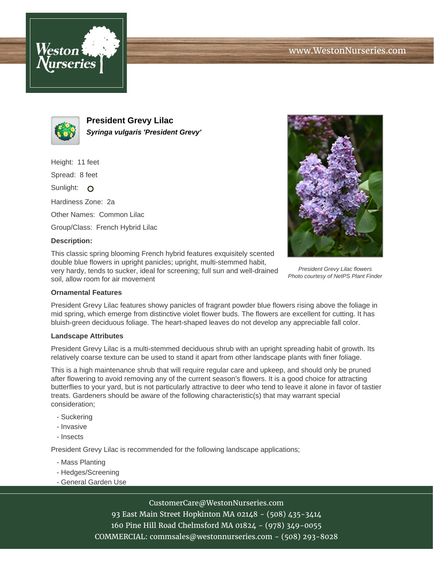



**President Grevy Lilac Syringa vulgaris 'President Grevy'**

Height: 11 feet

Spread: 8 feet

Sunlight: O

Hardiness Zone: 2a

Other Names: Common Lilac

Group/Class: French Hybrid Lilac

## **Description:**

This classic spring blooming French hybrid features exquisitely scented double blue flowers in upright panicles; upright, multi-stemmed habit, very hardy, tends to sucker, ideal for screening; full sun and well-drained soil, allow room for air movement



President Grevy Lilac flowers Photo courtesy of NetPS Plant Finder

## **Ornamental Features**

President Grevy Lilac features showy panicles of fragrant powder blue flowers rising above the foliage in mid spring, which emerge from distinctive violet flower buds. The flowers are excellent for cutting. It has bluish-green deciduous foliage. The heart-shaped leaves do not develop any appreciable fall color.

#### **Landscape Attributes**

President Grevy Lilac is a multi-stemmed deciduous shrub with an upright spreading habit of growth. Its relatively coarse texture can be used to stand it apart from other landscape plants with finer foliage.

This is a high maintenance shrub that will require regular care and upkeep, and should only be pruned after flowering to avoid removing any of the current season's flowers. It is a good choice for attracting butterflies to your yard, but is not particularly attractive to deer who tend to leave it alone in favor of tastier treats. Gardeners should be aware of the following characteristic(s) that may warrant special consideration;

- Suckering
- Invasive
- Insects

President Grevy Lilac is recommended for the following landscape applications;

- Mass Planting
- Hedges/Screening
- General Garden Use

# CustomerCare@WestonNurseries.com

93 East Main Street Hopkinton MA 02148 - (508) 435-3414 160 Pine Hill Road Chelmsford MA 01824 - (978) 349-0055 COMMERCIAL: commsales@westonnurseries.com - (508) 293-8028